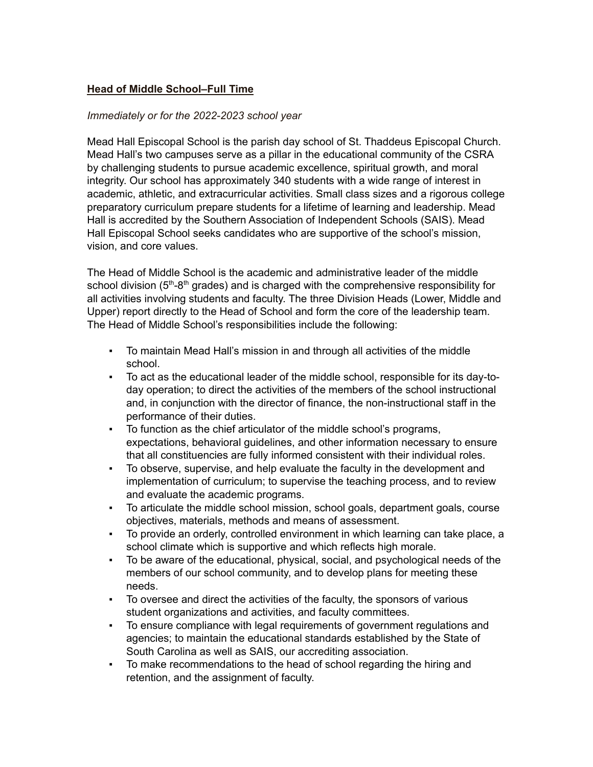## **Head of Middle School–Full Time**

## *Immediately or for the 2022-2023 school year*

Mead Hall Episcopal School is the parish day school of St. Thaddeus Episcopal Church. Mead Hall's two campuses serve as a pillar in the educational community of the CSRA by challenging students to pursue academic excellence, spiritual growth, and moral integrity. Our school has approximately 340 students with a wide range of interest in academic, athletic, and extracurricular activities. Small class sizes and a rigorous college preparatory curriculum prepare students for a lifetime of learning and leadership. Mead Hall is accredited by the Southern Association of Independent Schools (SAIS). Mead Hall Episcopal School seeks candidates who are supportive of the school's mission, vision, and core values.

The Head of Middle School is the academic and administrative leader of the middle school division (5<sup>th</sup>-8<sup>th</sup> grades) and is charged with the comprehensive responsibility for all activities involving students and faculty. The three Division Heads (Lower, Middle and Upper) report directly to the Head of School and form the core of the leadership team. The Head of Middle School's responsibilities include the following:

- To maintain Mead Hall's mission in and through all activities of the middle school.
- To act as the educational leader of the middle school, responsible for its day-today operation; to direct the activities of the members of the school instructional and, in conjunction with the director of finance, the non-instructional staff in the performance of their duties.
- To function as the chief articulator of the middle school's programs, expectations, behavioral guidelines, and other information necessary to ensure that all constituencies are fully informed consistent with their individual roles.
- To observe, supervise, and help evaluate the faculty in the development and implementation of curriculum; to supervise the teaching process, and to review and evaluate the academic programs.
- To articulate the middle school mission, school goals, department goals, course objectives, materials, methods and means of assessment.
- To provide an orderly, controlled environment in which learning can take place, a school climate which is supportive and which reflects high morale.
- To be aware of the educational, physical, social, and psychological needs of the members of our school community, and to develop plans for meeting these needs.
- To oversee and direct the activities of the faculty, the sponsors of various student organizations and activities, and faculty committees.
- To ensure compliance with legal requirements of government regulations and agencies; to maintain the educational standards established by the State of South Carolina as well as SAIS, our accrediting association.
- To make recommendations to the head of school regarding the hiring and retention, and the assignment of faculty.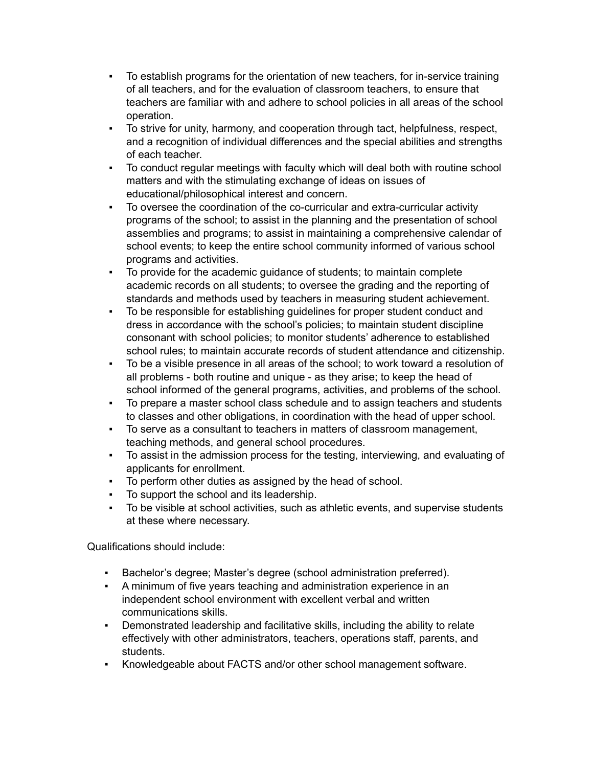- To establish programs for the orientation of new teachers, for in-service training of all teachers, and for the evaluation of classroom teachers, to ensure that teachers are familiar with and adhere to school policies in all areas of the school operation.
- To strive for unity, harmony, and cooperation through tact, helpfulness, respect, and a recognition of individual differences and the special abilities and strengths of each teacher.
- To conduct regular meetings with faculty which will deal both with routine school matters and with the stimulating exchange of ideas on issues of educational/philosophical interest and concern.
- To oversee the coordination of the co-curricular and extra-curricular activity programs of the school; to assist in the planning and the presentation of school assemblies and programs; to assist in maintaining a comprehensive calendar of school events; to keep the entire school community informed of various school programs and activities.
- To provide for the academic guidance of students; to maintain complete academic records on all students; to oversee the grading and the reporting of standards and methods used by teachers in measuring student achievement.
- To be responsible for establishing guidelines for proper student conduct and dress in accordance with the school's policies; to maintain student discipline consonant with school policies; to monitor students' adherence to established school rules; to maintain accurate records of student attendance and citizenship.
- To be a visible presence in all areas of the school; to work toward a resolution of all problems - both routine and unique - as they arise; to keep the head of school informed of the general programs, activities, and problems of the school.
- To prepare a master school class schedule and to assign teachers and students to classes and other obligations, in coordination with the head of upper school.
- To serve as a consultant to teachers in matters of classroom management, teaching methods, and general school procedures.
- To assist in the admission process for the testing, interviewing, and evaluating of applicants for enrollment.
- To perform other duties as assigned by the head of school.
- To support the school and its leadership.
- To be visible at school activities, such as athletic events, and supervise students at these where necessary.

Qualifications should include:

- Bachelor's degree; Master's degree (school administration preferred).
- A minimum of five years teaching and administration experience in an independent school environment with excellent verbal and written communications skills.
- Demonstrated leadership and facilitative skills, including the ability to relate effectively with other administrators, teachers, operations staff, parents, and students.
- Knowledgeable about FACTS and/or other school management software.